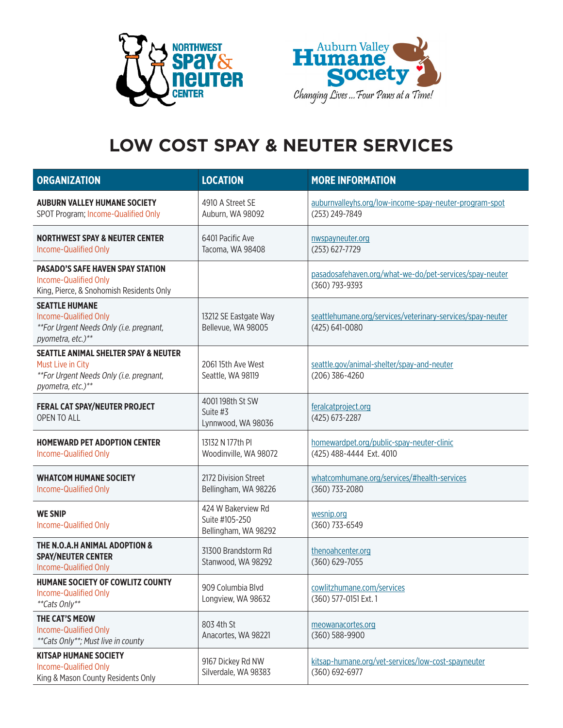



## **LOW COST SPAY & NEUTER SERVICES**

| <b>ORGANIZATION</b>                                                                                                                  | <b>LOCATION</b>                                              | <b>MORE INFORMATION</b>                                                      |
|--------------------------------------------------------------------------------------------------------------------------------------|--------------------------------------------------------------|------------------------------------------------------------------------------|
| <b>AUBURN VALLEY HUMANE SOCIETY</b><br>SPOT Program; Income-Qualified Only                                                           | 4910 A Street SE<br>Auburn, WA 98092                         | auburnvalleyhs.org/low-income-spay-neuter-program-spot<br>(253) 249-7849     |
| <b>NORTHWEST SPAY &amp; NEUTER CENTER</b><br>Income-Qualified Only                                                                   | 6401 Pacific Ave<br>Tacoma, WA 98408                         | nwspayneuter.org<br>(253) 627-7729                                           |
| <b>PASADO'S SAFE HAVEN SPAY STATION</b><br>Income-Qualified Only<br>King, Pierce, & Snohomish Residents Only                         |                                                              | pasadosafehaven.org/what-we-do/pet-services/spay-neuter<br>(360) 793-9393    |
| <b>SEATTLE HUMANE</b><br>Income-Qualified Only<br>**For Urgent Needs Only (i.e. pregnant,<br>pyometra, etc.)**                       | 13212 SE Eastgate Way<br>Bellevue, WA 98005                  | seattlehumane.org/services/veterinary-services/spay-neuter<br>(425) 641-0080 |
| <b>SEATTLE ANIMAL SHELTER SPAY &amp; NEUTER</b><br>Must Live in City<br>**For Urgent Needs Only (i.e. pregnant,<br>pyometra, etc.)** | 2061 15th Ave West<br>Seattle, WA 98119                      | seattle.gov/animal-shelter/spay-and-neuter<br>(206) 386-4260                 |
| <b>FERAL CAT SPAY/NEUTER PROJECT</b><br>OPEN TO ALL                                                                                  | 4001 198th St SW<br>Suite #3<br>Lynnwood, WA 98036           | feralcatproject.org<br>(425) 673-2287                                        |
| <b>HOMEWARD PET ADOPTION CENTER</b><br>Income-Qualified Only                                                                         | 13132 N 177th PI<br>Woodinville, WA 98072                    | homewardpet.org/public-spay-neuter-clinic<br>(425) 488-4444 Ext. 4010        |
| <b>WHATCOM HUMANE SOCIETY</b><br>Income-Qualified Only                                                                               | 2172 Division Street<br>Bellingham, WA 98226                 | whatcomhumane.org/services/#health-services<br>(360) 733-2080                |
| <b>WE SNIP</b><br>Income-Qualified Only                                                                                              | 424 W Bakerview Rd<br>Suite #105-250<br>Bellingham, WA 98292 | wesnip.org<br>(360) 733-6549                                                 |
| THE N.O.A.H ANIMAL ADOPTION &<br><b>SPAY/NEUTER CENTER</b><br>Income-Qualified Only                                                  | 31300 Brandstorm Rd<br>Stanwood, WA 98292                    | thenoahcenter.org<br>(360) 629-7055                                          |
| HUMANE SOCIETY OF COWLITZ COUNTY<br>Income-Qualified Only<br>**Cats Only**                                                           | 909 Columbia Blvd<br>Longview, WA 98632                      | cowlitzhumane.com/services<br>(360) 577-0151 Ext. 1                          |
| THE CAT'S MEOW<br>Income-Qualified Only<br>**Cats Only**; Must live in county                                                        | 803 4th St<br>Anacortes, WA 98221                            | meowanacortes.org<br>(360) 588-9900                                          |
| <b>KITSAP HUMANE SOCIETY</b><br>Income-Qualified Only<br>King & Mason County Residents Only                                          | 9167 Dickey Rd NW<br>Silverdale, WA 98383                    | kitsap-humane.org/vet-services/low-cost-spayneuter<br>(360) 692-6977         |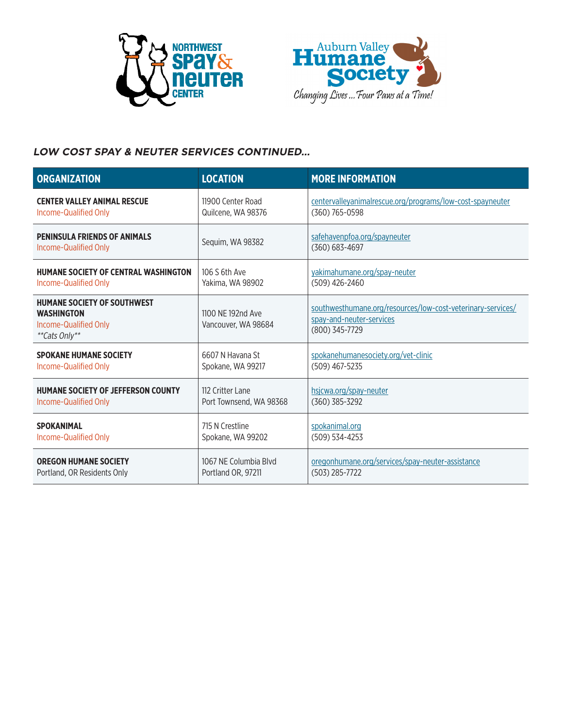



### **LOW COST SPAY & NEUTER SERVICES CONTINUED…**

| <b>ORGANIZATION</b>                                                                               | <b>LOCATION</b>                          | <b>MORE INFORMATION</b>                                                                                   |
|---------------------------------------------------------------------------------------------------|------------------------------------------|-----------------------------------------------------------------------------------------------------------|
| <b>CENTER VALLEY ANIMAL RESCUE</b>                                                                | 11900 Center Road                        | centervalleyanimalrescue.org/programs/low-cost-spayneuter                                                 |
| Income-Qualified Only                                                                             | Quilcene, WA 98376                       | (360) 765-0598                                                                                            |
| <b>PENINSULA FRIENDS OF ANIMALS</b><br>Income-Qualified Only                                      | Sequim, WA 98382                         | safehavenpfoa.org/spayneuter<br>$(360) 683 - 4697$                                                        |
| HUMANE SOCIETY OF CENTRAL WASHINGTON                                                              | 106 S 6th Ave                            | yakimahumane.org/spay-neuter                                                                              |
| Income-Qualified Only                                                                             | Yakima, WA 98902                         | (509) 426-2460                                                                                            |
| <b>HUMANE SOCIETY OF SOUTHWEST</b><br><b>WASHINGTON</b><br>Income-Qualified Only<br>**Cats Only** | 1100 NF 192nd Ave<br>Vancouver, WA 98684 | southwesthumane.org/resources/low-cost-veterinary-services/<br>spay-and-neuter-services<br>(800) 345-7729 |
| <b>SPOKANE HUMANE SOCIETY</b>                                                                     | 6607 N Havana St                         | spokanehumanesociety.org/vet-clinic                                                                       |
| Income-Qualified Only                                                                             | Spokane, WA 99217                        | $(509)$ 467-5235                                                                                          |
| <b>HUMANE SOCIETY OF JEFFERSON COUNTY</b>                                                         | 112 Critter Lane                         | hsicwa.org/spay-neuter                                                                                    |
| Income-Qualified Only                                                                             | Port Townsend, WA 98368                  | $(360)$ 385-3292                                                                                          |
| <b>SPOKANIMAL</b>                                                                                 | 715 N Crestline                          | spokanimal.org                                                                                            |
| Income-Qualified Only                                                                             | Spokane, WA 99202                        | $(509) 534 - 4253$                                                                                        |
| <b>OREGON HUMANE SOCIETY</b>                                                                      | 1067 NE Columbia Blvd                    | oregonhumane.org/services/spay-neuter-assistance                                                          |
| Portland, OR Residents Only                                                                       | Portland OR, 97211                       | $(503)$ 285-7722                                                                                          |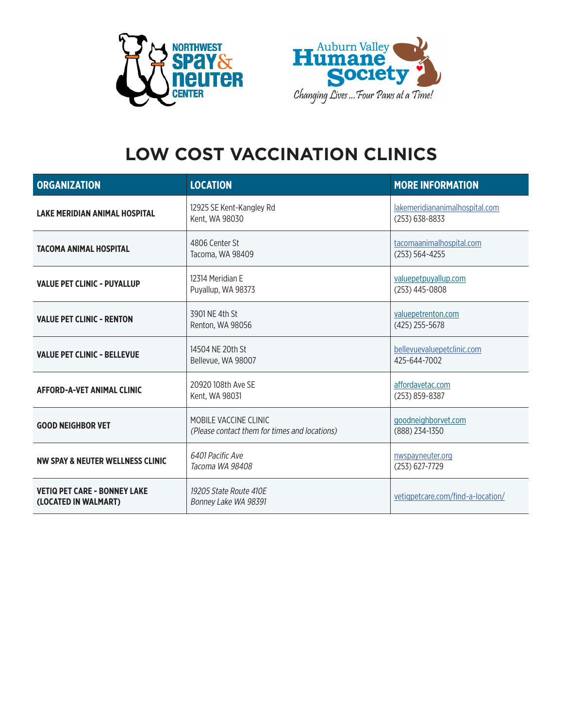



# **LOW COST VACCINATION CLINICS**

| <b>ORGANIZATION</b>                                         | <b>LOCATION</b>                                                        | <b>MORE INFORMATION</b>                          |
|-------------------------------------------------------------|------------------------------------------------------------------------|--------------------------------------------------|
| <b>LAKE MERIDIAN ANIMAL HOSPITAL</b>                        | 12925 SE Kent-Kangley Rd<br>Kent, WA 98030                             | lakemeridiananimalhospital.com<br>(253) 638-8833 |
| <b>TACOMA ANIMAL HOSPITAL</b>                               | 4806 Center St<br>Tacoma, WA 98409                                     | tacomaanimalhospital.com<br>$(253) 564 - 4255$   |
| <b>VALUE PET CLINIC - PUYALLUP</b>                          | 12314 Meridian F<br>Puyallup, WA 98373                                 | valuepetpuyallup.com<br>(253) 445-0808           |
| <b>VALUE PET CLINIC - RENTON</b>                            | 3901 NF 4th St<br>Renton, WA 98056                                     | valuepetrenton.com<br>$(425)$ 255-5678           |
| <b>VALUE PET CLINIC - BELLEVUE</b>                          | 14504 NE 20th St<br>Bellevue, WA 98007                                 | bellevuevaluepetclinic.com<br>425-644-7002       |
| <b>AFFORD-A-VET ANIMAL CLINIC</b>                           | 20920 108th Ave SE<br>Kent, WA 98031                                   | affordavetac.com<br>(253) 859-8387               |
| <b>GOOD NEIGHBOR VET</b>                                    | MOBILE VACCINE CLINIC<br>(Please contact them for times and locations) | goodneighborvet.com<br>(888) 234-1350            |
| NW SPAY & NEUTER WELLNESS CLINIC                            | 6401 Pacific Ave<br>Tacoma WA 98408                                    | nwspayneuter.org<br>(253) 627-7729               |
| <b>VETIQ PET CARE - BONNEY LAKE</b><br>(LOCATED IN WALMART) | 19205 State Route 410E<br>Bonney Lake WA 98391                         | vetigpetcare.com/find-a-location/                |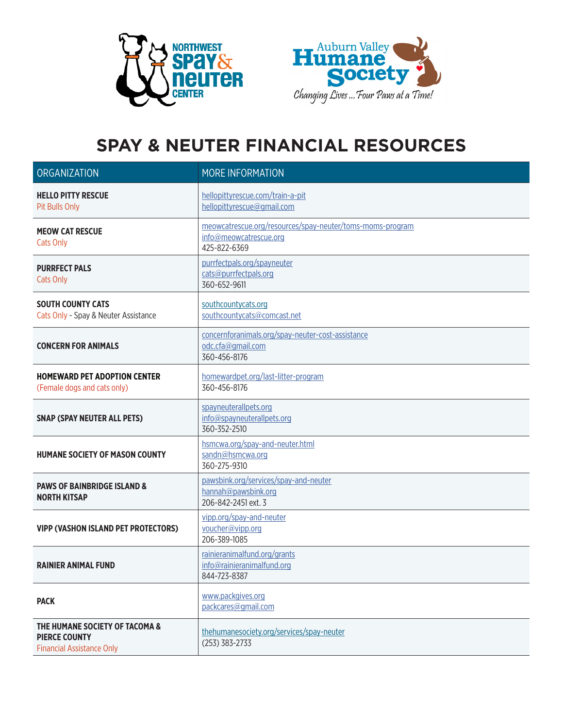



## **SPAY & NEUTER FINANCIAL RESOURCES**

| ORGANIZATION                                                                               | <b>MORE INFORMATION</b>                                                                             |
|--------------------------------------------------------------------------------------------|-----------------------------------------------------------------------------------------------------|
| <b>HELLO PITTY RESCUE</b><br><b>Pit Bulls Only</b>                                         | hellopittyrescue.com/train-a-pit<br>hellopittyrescue@gmail.com                                      |
| <b>MEOW CAT RESCUE</b><br><b>Cats Only</b>                                                 | meowcatrescue.org/resources/spay-neuter/toms-moms-program<br>info@meowcatrescue.org<br>425-822-6369 |
| <b>PURRFECT PALS</b><br>Cats Only                                                          | purrfectpals.org/spayneuter<br>cats@purrfectpals.org<br>360-652-9611                                |
| <b>SOUTH COUNTY CATS</b><br>Cats Only - Spay & Neuter Assistance                           | southcountycats.org<br>southcountycats@comcast.net                                                  |
| <b>CONCERN FOR ANIMALS</b>                                                                 | concernforanimals.org/spay-neuter-cost-assistance<br>odc.cfa@gmail.com<br>360-456-8176              |
| <b>HOMEWARD PET ADOPTION CENTER</b><br>(Female dogs and cats only)                         | homewardpet.org/last-litter-program<br>360-456-8176                                                 |
| <b>SNAP (SPAY NEUTER ALL PETS)</b>                                                         | spayneuterallpets.org<br>info@spayneuterallpets.org<br>360-352-2510                                 |
| <b>HUMANE SOCIETY OF MASON COUNTY</b>                                                      | hsmcwa.org/spay-and-neuter.html<br>sandn@hsmcwa.org<br>360-275-9310                                 |
| <b>PAWS OF BAINBRIDGE ISLAND &amp;</b><br><b>NORTH KITSAP</b>                              | pawsbink.org/services/spay-and-neuter<br>hannah@pawsbink.org<br>206-842-2451 ext. 3                 |
| <b>VIPP (VASHON ISLAND PET PROTECTORS)</b>                                                 | vipp.org/spay-and-neuter<br>voucher@vipp.org<br>206-389-1085                                        |
| <b>RAINIER ANIMAL FUND</b>                                                                 | rainieranimalfund.org/grants<br>info@rainieranimalfund.org<br>844-723-8387                          |
| <b>PACK</b>                                                                                | www.packgives.org<br>packcares@gmail.com                                                            |
| THE HUMANE SOCIETY OF TACOMA &<br><b>PIERCE COUNTY</b><br><b>Financial Assistance Only</b> | thehumanesociety.org/services/spay-neuter<br>$(253)$ 383-2733                                       |